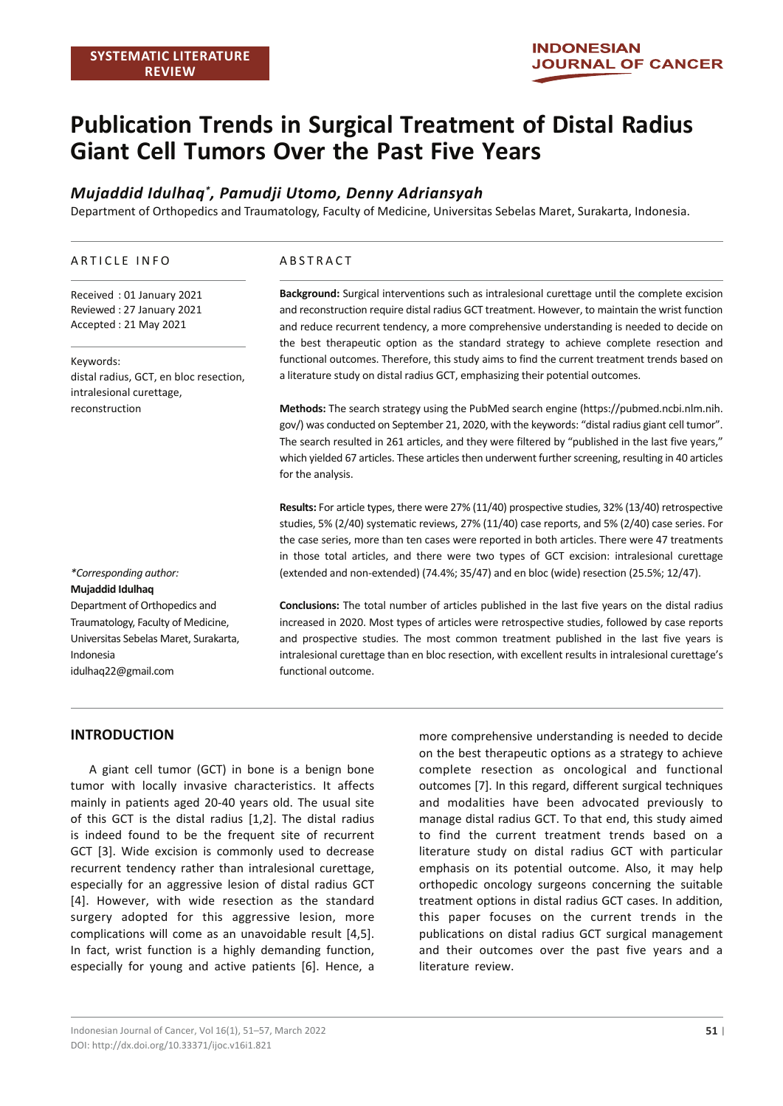# **Publication Trends in Surgical Treatment of Distal Radius Giant Cell Tumors Over the Past Five Years**

# *Mujaddid Idulhaq\* , Pamudji Utomo, Denny Adriansyah*

Department of Orthopedics and Traumatology, Faculty of Medicine, Universitas Sebelas Maret, Surakarta, Indonesia.

#### ARTICLE INFO

Received : 01 January 2021 Reviewed : 27 January 2021 Accepted : 21 May 2021

Keywords: distal radius, GCT, en bloc resection, intralesional curettage, reconstruction

#### ABSTRACT

**Background:** Surgical interventions such as intralesional curettage until the complete excision and reconstruction require distal radius GCT treatment. However, to maintain the wrist function and reduce recurrent tendency, a more comprehensive understanding is needed to decide on the best therapeutic option as the standard strategy to achieve complete resection and functional outcomes. Therefore, this study aims to find the current treatment trends based on a literature study on distal radius GCT, emphasizing their potential outcomes.

**Methods:** The search strategy using the PubMed search engine (https://pubmed.ncbi.nlm.nih. gov/) was conducted on September 21, 2020, with the keywords: "distal radius giant cell tumor". The search resulted in 261 articles, and they were filtered by "published in the last five years," which yielded 67 articles. These articles then underwent further screening, resulting in 40 articles for the analysis.

**Results:** For article types, there were 27% (11/40) prospective studies, 32% (13/40) retrospective studies, 5% (2/40) systematic reviews, 27% (11/40) case reports, and 5% (2/40) case series. For the case series, more than ten cases were reported in both articles. There were 47 treatments in those total articles, and there were two types of GCT excision: intralesional curettage (extended and non-extended) (74.4%; 35/47) and en bloc (wide) resection (25.5%; 12/47).

*\*Corresponding author:* **Mujaddid Idulhaq** Department of Orthopedics and Traumatology, Faculty of Medicine, Universitas Sebelas Maret, Surakarta, Indonesia idulhaq22@gmail.com

**Conclusions:** The total number of articles published in the last five years on the distal radius increased in 2020. Most types of articles were retrospective studies, followed by case reports and prospective studies. The most common treatment published in the last five years is intralesional curettage than en bloc resection, with excellent results in intralesional curettage's functional outcome.

#### **INTRODUCTION**

A giant cell tumor (GCT) in bone is a benign bone tumor with locally invasive characteristics. It affects mainly in patients aged 20-40 years old. The usual site of this GCT is the distal radius [1,2]. The distal radius is indeed found to be the frequent site of recurrent GCT [3]. Wide excision is commonly used to decrease recurrent tendency rather than intralesional curettage, especially for an aggressive lesion of distal radius GCT [4]. However, with wide resection as the standard surgery adopted for this aggressive lesion, more complications will come as an unavoidable result [4,5]. In fact, wrist function is a highly demanding function, especially for young and active patients [6]. Hence, a

more comprehensive understanding is needed to decide on the best therapeutic options as a strategy to achieve complete resection as oncological and functional outcomes [7]. In this regard, different surgical techniques and modalities have been advocated previously to manage distal radius GCT. To that end, this study aimed to find the current treatment trends based on a literature study on distal radius GCT with particular emphasis on its potential outcome. Also, it may help orthopedic oncology surgeons concerning the suitable treatment options in distal radius GCT cases. In addition, this paper focuses on the current trends in the publications on distal radius GCT surgical management and their outcomes over the past five years and a literature review.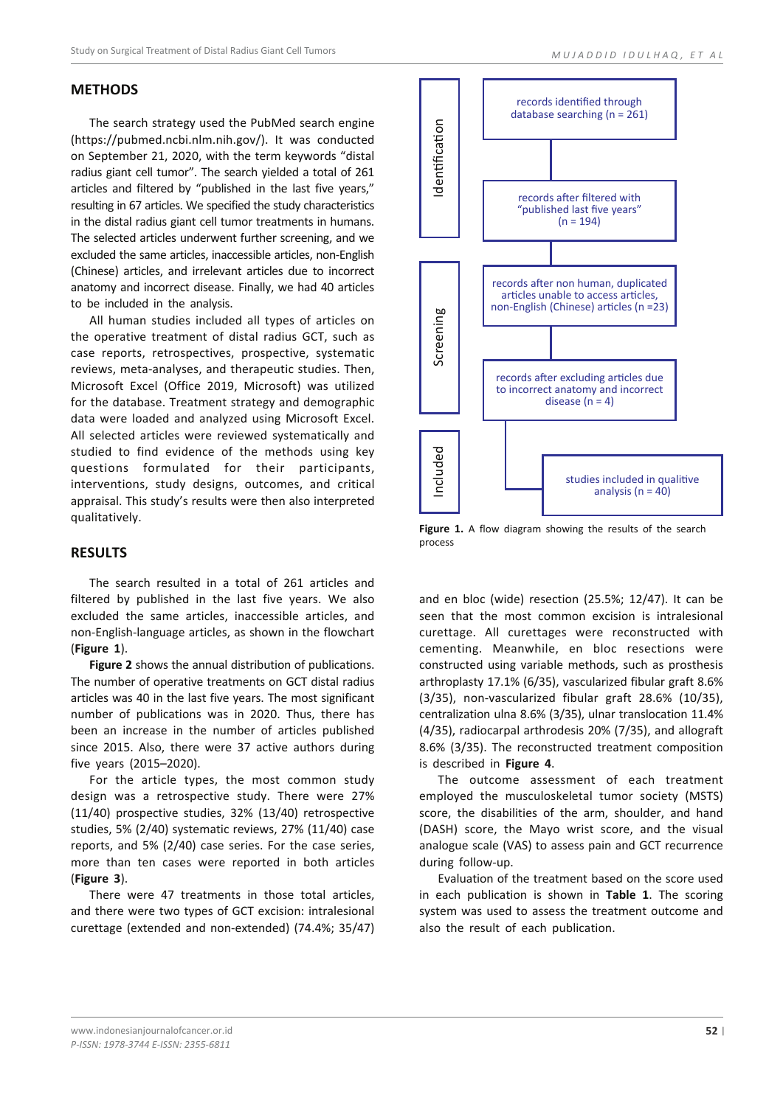#### **METHODS**

The search strategy used the PubMed search engine (https://pubmed.ncbi.nlm.nih.gov/). It was conducted on September 21, 2020, with the term keywords "distal radius giant cell tumor". The search yielded a total of 261 articles and filtered by "published in the last five years," resulting in 67 articles. We specified the study characteristics in the distal radius giant cell tumor treatments in humans. The selected articles underwent further screening, and we excluded the same articles, inaccessible articles, non-English (Chinese) articles, and irrelevant articles due to incorrect anatomy and incorrect disease. Finally, we had 40 articles to be included in the analysis.

All human studies included all types of articles on the operative treatment of distal radius GCT, such as case reports, retrospectives, prospective, systematic reviews, meta-analyses, and therapeutic studies. Then, Microsoft Excel (Office 2019, Microsoft) was utilized for the database. Treatment strategy and demographic data were loaded and analyzed using Microsoft Excel. All selected articles were reviewed systematically and studied to find evidence of the methods using key questions formulated for their participants, interventions, study designs, outcomes, and critical appraisal. This study's results were then also interpreted qualitatively.

#### **RESULTS**

The search resulted in a total of 261 articles and filtered by published in the last five years. We also excluded the same articles, inaccessible articles, and non-English-language articles, as shown in the flowchart (**Figure 1**).

**Figure 2** shows the annual distribution of publications. The number of operative treatments on GCT distal radius articles was 40 in the last five years. The most significant number of publications was in 2020. Thus, there has been an increase in the number of articles published since 2015. Also, there were 37 active authors during five years (2015–2020).

For the article types, the most common study design was a retrospective study. There were 27% (11/40) prospective studies, 32% (13/40) retrospective studies, 5% (2/40) systematic reviews, 27% (11/40) case reports, and 5% (2/40) case series. For the case series, more than ten cases were reported in both articles (**Figure 3**).

There were 47 treatments in those total articles, and there were two types of GCT excision: intralesional curettage (extended and non-extended) (74.4%; 35/47)



Figure 1. A flow diagram showing the results of the search process

and en bloc (wide) resection (25.5%; 12/47). It can be seen that the most common excision is intralesional curettage. All curettages were reconstructed with cementing. Meanwhile, en bloc resections were constructed using variable methods, such as prosthesis arthroplasty 17.1% (6/35), vascularized fibular graft 8.6% (3/35), non-vascularized fibular graft 28.6% (10/35), centralization ulna 8.6% (3/35), ulnar translocation 11.4% (4/35), radiocarpal arthrodesis 20% (7/35), and allograft 8.6% (3/35). The reconstructed treatment composition is described in **Figure 4**.

The outcome assessment of each treatment employed the musculoskeletal tumor society (MSTS) score, the disabilities of the arm, shoulder, and hand (DASH) score, the Mayo wrist score, and the visual analogue scale (VAS) to assess pain and GCT recurrence during follow-up.

Evaluation of the treatment based on the score used in each publication is shown in **Table 1**. The scoring system was used to assess the treatment outcome and also the result of each publication.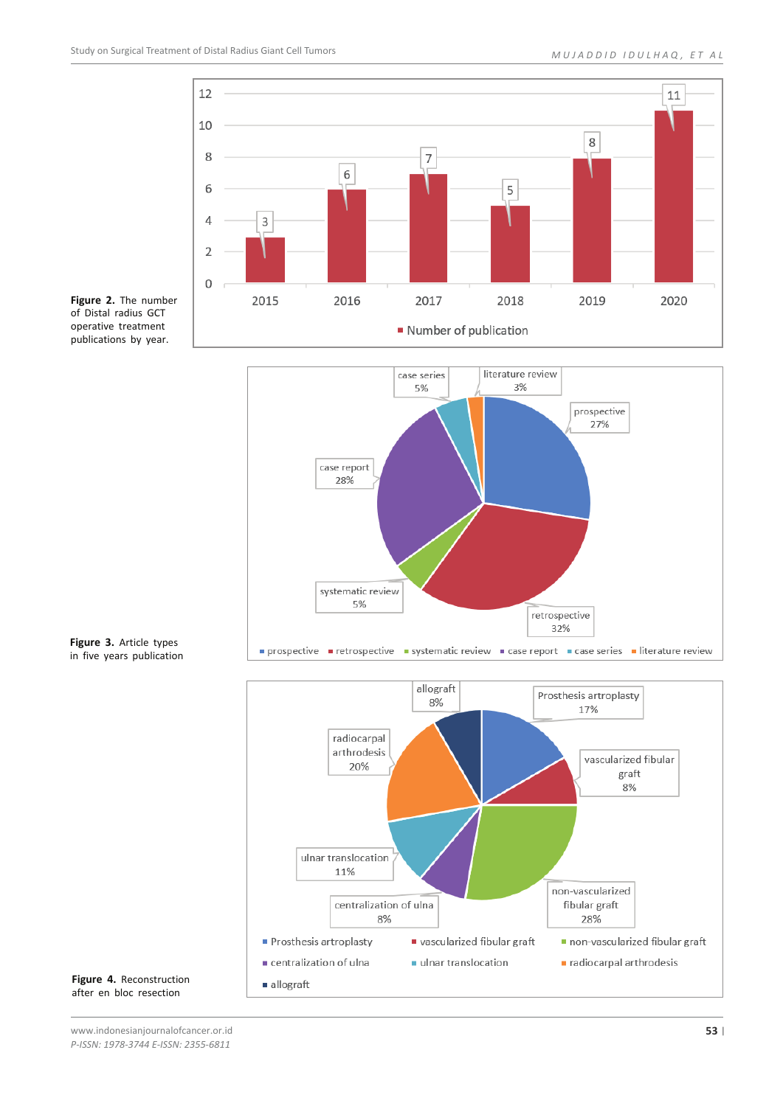

**Figure 2.** The number of Distal radius GCT operative treatment publications by year.



**Figure 3.** Article types in five years publication



**Figure 4.** Reconstruction after en bloc resection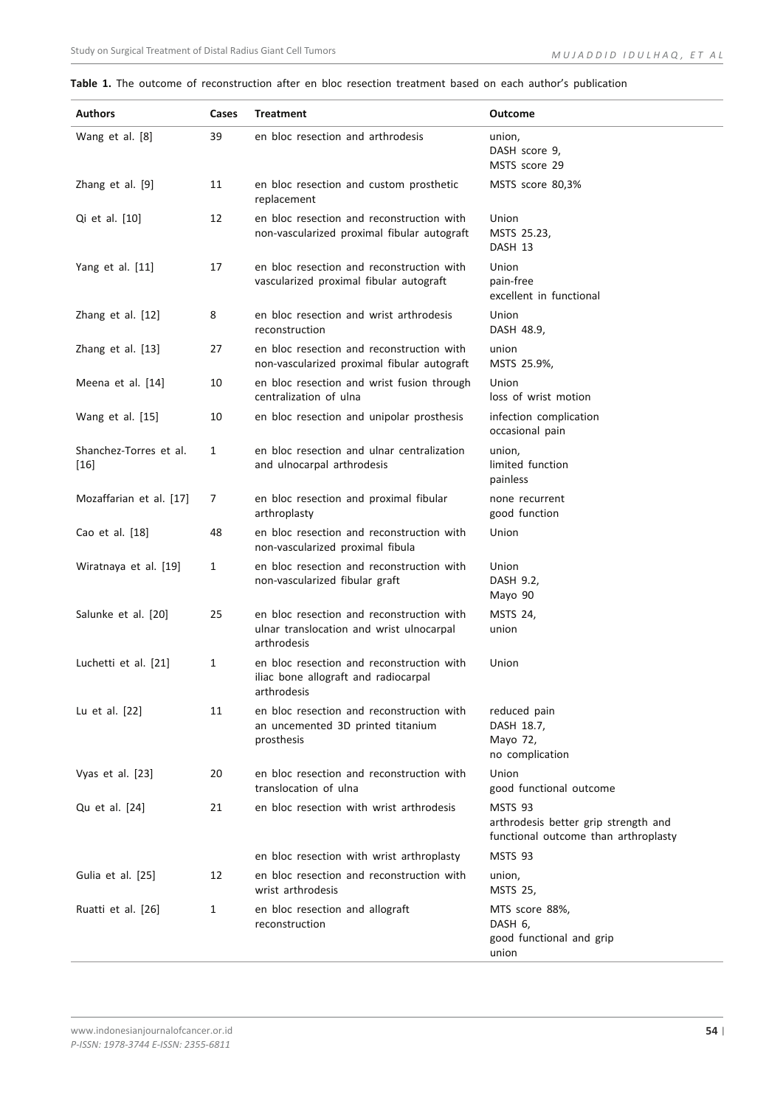#### **Table 1.** The outcome of reconstruction after en bloc resection treatment based on each author's publication

| <b>Authors</b>                   | Cases | <b>Treatment</b>                                                                                     | <b>Outcome</b>                                                                          |
|----------------------------------|-------|------------------------------------------------------------------------------------------------------|-----------------------------------------------------------------------------------------|
| Wang et al. [8]                  | 39    | en bloc resection and arthrodesis                                                                    | union,<br>DASH score 9,<br>MSTS score 29                                                |
| Zhang et al. [9]                 | 11    | en bloc resection and custom prosthetic<br>replacement                                               | MSTS score 80,3%                                                                        |
| Qi et al. [10]                   | 12    | en bloc resection and reconstruction with<br>non-vascularized proximal fibular autograft             | Union<br>MSTS 25.23,<br>DASH 13                                                         |
| Yang et al. [11]                 | 17    | en bloc resection and reconstruction with<br>vascularized proximal fibular autograft                 | Union<br>pain-free<br>excellent in functional                                           |
| Zhang et al. [12]                | 8     | en bloc resection and wrist arthrodesis<br>reconstruction                                            | Union<br>DASH 48.9,                                                                     |
| Zhang et al. [13]                | 27    | en bloc resection and reconstruction with<br>non-vascularized proximal fibular autograft             | union<br>MSTS 25.9%,                                                                    |
| Meena et al. [14]                | 10    | en bloc resection and wrist fusion through<br>centralization of ulna                                 | Union<br>loss of wrist motion                                                           |
| Wang et al. [15]                 | 10    | en bloc resection and unipolar prosthesis                                                            | infection complication<br>occasional pain                                               |
| Shanchez-Torres et al.<br>$[16]$ | 1     | en bloc resection and ulnar centralization<br>and ulnocarpal arthrodesis                             | union,<br>limited function<br>painless                                                  |
| Mozaffarian et al. [17]          | 7     | en bloc resection and proximal fibular<br>arthroplasty                                               | none recurrent<br>good function                                                         |
| Cao et al. [18]                  | 48    | en bloc resection and reconstruction with<br>non-vascularized proximal fibula                        | Union                                                                                   |
| Wiratnaya et al. [19]            | 1     | en bloc resection and reconstruction with<br>non-vascularized fibular graft                          | Union<br>DASH 9.2,<br>Mayo 90                                                           |
| Salunke et al. [20]              | 25    | en bloc resection and reconstruction with<br>ulnar translocation and wrist ulnocarpal<br>arthrodesis | MSTS 24,<br>union                                                                       |
| Luchetti et al. [21]             | 1     | en bloc resection and reconstruction with<br>iliac bone allograft and radiocarpal<br>arthrodesis     | Union                                                                                   |
| Lu et al. [22]                   | 11    | en bloc resection and reconstruction with<br>an uncemented 3D printed titanium<br>prosthesis         | reduced pain<br>DASH 18.7,<br>Mayo 72,<br>no complication                               |
| Vyas et al. [23]                 | 20    | en bloc resection and reconstruction with<br>translocation of ulna                                   | Union<br>good functional outcome                                                        |
| Qu et al. [24]                   | 21    | en bloc resection with wrist arthrodesis                                                             | MSTS 93<br>arthrodesis better grip strength and<br>functional outcome than arthroplasty |
|                                  |       | en bloc resection with wrist arthroplasty                                                            | MSTS 93                                                                                 |
| Gulia et al. [25]                | 12    | en bloc resection and reconstruction with<br>wrist arthrodesis                                       | union,<br><b>MSTS 25,</b>                                                               |
| Ruatti et al. [26]               | 1     | en bloc resection and allograft<br>reconstruction                                                    | MTS score 88%,<br>DASH 6,<br>good functional and grip<br>union                          |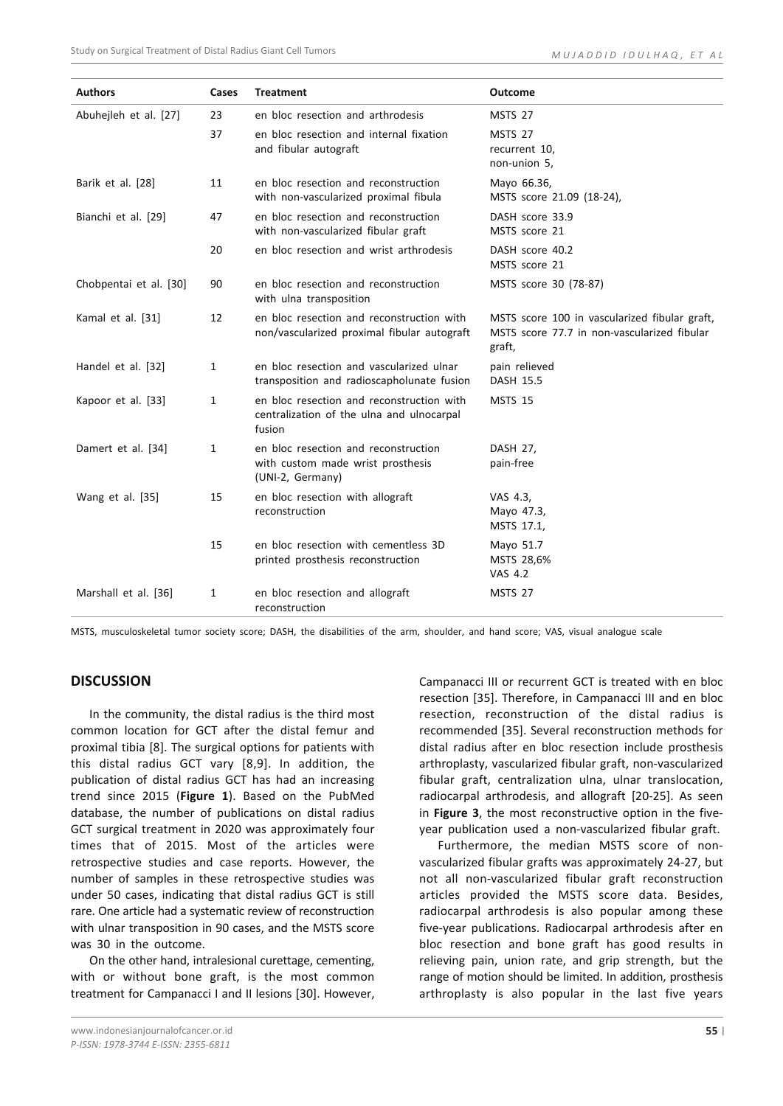| <b>Authors</b>         | Cases | <b>Treatment</b>                                                                                 | <b>Outcome</b>                                                                                         |
|------------------------|-------|--------------------------------------------------------------------------------------------------|--------------------------------------------------------------------------------------------------------|
| Abuhejleh et al. [27]  | 23    | en bloc resection and arthrodesis                                                                | MSTS 27                                                                                                |
|                        | 37    | en bloc resection and internal fixation<br>and fibular autograft                                 | <b>MSTS 27</b><br>recurrent 10,<br>non-union 5,                                                        |
| Barik et al. [28]      | 11    | en bloc resection and reconstruction<br>with non-vascularized proximal fibula                    | Mayo 66.36,<br>MSTS score 21.09 (18-24),                                                               |
| Bianchi et al. [29]    | 47    | en bloc resection and reconstruction<br>with non-vascularized fibular graft                      | DASH score 33.9<br>MSTS score 21                                                                       |
|                        | 20    | en bloc resection and wrist arthrodesis                                                          | DASH score 40.2<br>MSTS score 21                                                                       |
| Chobpentai et al. [30] | 90    | en bloc resection and reconstruction<br>with ulna transposition                                  | MSTS score 30 (78-87)                                                                                  |
| Kamal et al. [31]      | 12    | en bloc resection and reconstruction with<br>non/vascularized proximal fibular autograft         | MSTS score 100 in vascularized fibular graft,<br>MSTS score 77.7 in non-vascularized fibular<br>graft, |
| Handel et al. [32]     | 1     | en bloc resection and vascularized ulnar<br>transposition and radioscapholunate fusion           | pain relieved<br>DASH 15.5                                                                             |
| Kapoor et al. [33]     | 1     | en bloc resection and reconstruction with<br>centralization of the ulna and ulnocarpal<br>fusion | <b>MSTS 15</b>                                                                                         |
| Damert et al. [34]     | 1     | en bloc resection and reconstruction<br>with custom made wrist prosthesis<br>(UNI-2, Germany)    | DASH 27,<br>pain-free                                                                                  |
| Wang et al. [35]       | 15    | en bloc resection with allograft<br>reconstruction                                               | VAS 4.3,<br>Mayo 47.3,<br>MSTS 17.1,                                                                   |
|                        | 15    | en bloc resection with cementless 3D<br>printed prosthesis reconstruction                        | Mayo 51.7<br>MSTS 28,6%<br><b>VAS 4.2</b>                                                              |
| Marshall et al. [36]   | 1     | en bloc resection and allograft<br>reconstruction                                                | MSTS 27                                                                                                |

MSTS, musculoskeletal tumor society score; DASH, the disabilities of the arm, shoulder, and hand score; VAS, visual analogue scale

#### **DISCUSSION**

In the community, the distal radius is the third most common location for GCT after the distal femur and proximal tibia [8]. The surgical options for patients with this distal radius GCT vary [8,9]. In addition, the publication of distal radius GCT has had an increasing trend since 2015 (**Figure 1**). Based on the PubMed database, the number of publications on distal radius GCT surgical treatment in 2020 was approximately four times that of 2015. Most of the articles were retrospective studies and case reports. However, the number of samples in these retrospective studies was under 50 cases, indicating that distal radius GCT is still rare. One article had a systematic review of reconstruction with ulnar transposition in 90 cases, and the MSTS score was 30 in the outcome.

On the other hand, intralesional curettage, cementing, with or without bone graft, is the most common treatment for Campanacci I and II lesions [30]. However,

www.indonesianjournalofcancer.or.id *P-ISSN: 1978-3744 E-ISSN: 2355-6811*

Campanacci III or recurrent GCT is treated with en bloc resection [35]. Therefore, in Campanacci III and en bloc resection, reconstruction of the distal radius is recommended [35]. Several reconstruction methods for distal radius after en bloc resection include prosthesis arthroplasty, vascularized fibular graft, non-vascularized fibular graft, centralization ulna, ulnar translocation, radiocarpal arthrodesis, and allograft [20-25]. As seen in **Figure 3**, the most reconstructive option in the fiveyear publication used a non-vascularized fibular graft.

Furthermore, the median MSTS score of nonvascularized fibular grafts was approximately 24-27, but not all non-vascularized fibular graft reconstruction articles provided the MSTS score data. Besides, radiocarpal arthrodesis is also popular among these five-year publications. Radiocarpal arthrodesis after en bloc resection and bone graft has good results in relieving pain, union rate, and grip strength, but the range of motion should be limited. In addition, prosthesis arthroplasty is also popular in the last five years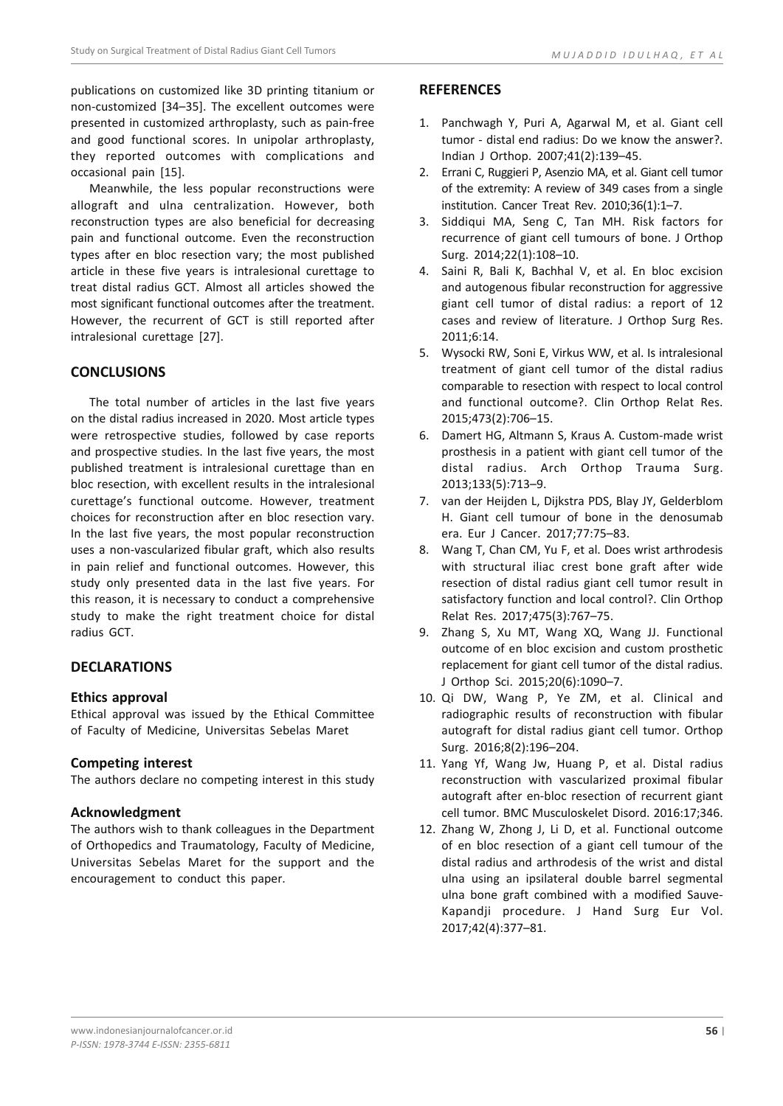publications on customized like 3D printing titanium or non-customized [34–35]. The excellent outcomes were presented in customized arthroplasty, such as pain-free and good functional scores. In unipolar arthroplasty, they reported outcomes with complications and occasional pain [15].

Meanwhile, the less popular reconstructions were allograft and ulna centralization. However, both reconstruction types are also beneficial for decreasing pain and functional outcome. Even the reconstruction types after en bloc resection vary; the most published article in these five years is intralesional curettage to treat distal radius GCT. Almost all articles showed the most significant functional outcomes after the treatment. However, the recurrent of GCT is still reported after intralesional curettage [27].

# **CONCLUSIONS**

The total number of articles in the last five years on the distal radius increased in 2020. Most article types were retrospective studies, followed by case reports and prospective studies. In the last five years, the most published treatment is intralesional curettage than en bloc resection, with excellent results in the intralesional curettage's functional outcome. However, treatment choices for reconstruction after en bloc resection vary. In the last five years, the most popular reconstruction uses a non-vascularized fibular graft, which also results in pain relief and functional outcomes. However, this study only presented data in the last five years. For this reason, it is necessary to conduct a comprehensive study to make the right treatment choice for distal radius GCT.

# **DECLARATIONS**

## **Ethics approval**

Ethical approval was issued by the Ethical Committee of Faculty of Medicine, Universitas Sebelas Maret

## **Competing interest**

The authors declare no competing interest in this study

## **Acknowledgment**

The authors wish to thank colleagues in the Department of Orthopedics and Traumatology, Faculty of Medicine, Universitas Sebelas Maret for the support and the encouragement to conduct this paper.

## **REFERENCES**

- 1. Panchwagh Y, Puri A, Agarwal M, et al. Giant cell tumor - distal end radius: Do we know the answer?. Indian J Orthop. 2007;41(2):139–45.
- 2. Errani C, Ruggieri P, Asenzio MA, et al. Giant cell tumor of the extremity: A review of 349 cases from a single institution. Cancer Treat Rev. 2010;36(1):1–7.
- 3. Siddiqui MA, Seng C, Tan MH. Risk factors for recurrence of giant cell tumours of bone. J Orthop Surg. 2014;22(1):108–10.
- 4. Saini R, Bali K, Bachhal V, et al. En bloc excision and autogenous fibular reconstruction for aggressive giant cell tumor of distal radius: a report of 12 cases and review of literature. J Orthop Surg Res. 2011;6:14.
- 5. Wysocki RW, Soni E, Virkus WW, et al. Is intralesional treatment of giant cell tumor of the distal radius comparable to resection with respect to local control and functional outcome?. Clin Orthop Relat Res. 2015;473(2):706–15.
- 6. Damert HG, Altmann S, Kraus A. Custom-made wrist prosthesis in a patient with giant cell tumor of the distal radius. Arch Orthop Trauma Surg. 2013;133(5):713–9.
- 7. van der Heijden L, Dijkstra PDS, Blay JY, Gelderblom H. Giant cell tumour of bone in the denosumab era. Eur J Cancer. 2017;77:75–83.
- 8. Wang T, Chan CM, Yu F, et al. Does wrist arthrodesis with structural iliac crest bone graft after wide resection of distal radius giant cell tumor result in satisfactory function and local control?. Clin Orthop Relat Res. 2017;475(3):767–75.
- 9. Zhang S, Xu MT, Wang XQ, Wang JJ. Functional outcome of en bloc excision and custom prosthetic replacement for giant cell tumor of the distal radius. J Orthop Sci. 2015;20(6):1090–7.
- 10. Qi DW, Wang P, Ye ZM, et al. Clinical and radiographic results of reconstruction with fibular autograft for distal radius giant cell tumor. Orthop Surg. 2016;8(2):196–204.
- 11. Yang Yf, Wang Jw, Huang P, et al. Distal radius reconstruction with vascularized proximal fibular autograft after en-bloc resection of recurrent giant cell tumor. BMC Musculoskelet Disord. 2016:17;346.
- 12. Zhang W, Zhong J, Li D, et al. Functional outcome of en bloc resection of a giant cell tumour of the distal radius and arthrodesis of the wrist and distal ulna using an ipsilateral double barrel segmental ulna bone graft combined with a modified Sauve-Kapandji procedure. J Hand Surg Eur Vol. 2017;42(4):377–81.